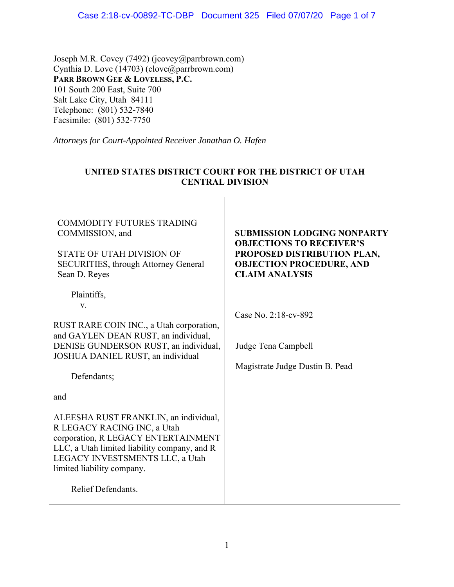Joseph M.R. Covey (7492) (jcovey@parrbrown.com) Cynthia D. Love  $(14703)$  (clove@parrbrown.com) **PARR BROWN GEE & LOVELESS, P.C.**  101 South 200 East, Suite 700 Salt Lake City, Utah 84111 Telephone: (801) 532-7840 Facsimile: (801) 532-7750

*Attorneys for Court-Appointed Receiver Jonathan O. Hafen* 

| UNITED STATES DISTRICT COURT FOR THE DISTRICT OF UTAH<br><b>CENTRAL DIVISION</b>                                                                                                                                                                          |                                                                                                                                                                  |
|-----------------------------------------------------------------------------------------------------------------------------------------------------------------------------------------------------------------------------------------------------------|------------------------------------------------------------------------------------------------------------------------------------------------------------------|
| <b>COMMODITY FUTURES TRADING</b><br>COMMISSION, and<br><b>STATE OF UTAH DIVISION OF</b><br><b>SECURITIES, through Attorney General</b><br>Sean D. Reyes                                                                                                   | <b>SUBMISSION LODGING NONPARTY</b><br><b>OBJECTIONS TO RECEIVER'S</b><br>PROPOSED DISTRIBUTION PLAN,<br><b>OBJECTION PROCEDURE, AND</b><br><b>CLAIM ANALYSIS</b> |
| Plaintiffs,<br>V.<br>RUST RARE COIN INC., a Utah corporation,<br>and GAYLEN DEAN RUST, an individual,<br>DENISE GUNDERSON RUST, an individual,<br>JOSHUA DANIEL RUST, an individual<br>Defendants;                                                        | Case No. 2:18-cv-892<br>Judge Tena Campbell<br>Magistrate Judge Dustin B. Pead                                                                                   |
| and<br>ALEESHA RUST FRANKLIN, an individual,<br>R LEGACY RACING INC, a Utah<br>corporation, R LEGACY ENTERTAINMENT<br>LLC, a Utah limited liability company, and R<br>LEGACY INVESTSMENTS LLC, a Utah<br>limited liability company.<br>Relief Defendants. |                                                                                                                                                                  |

# **UNITED STATES DISTRICT COURT FOR THE DISTRICT OF UTAH**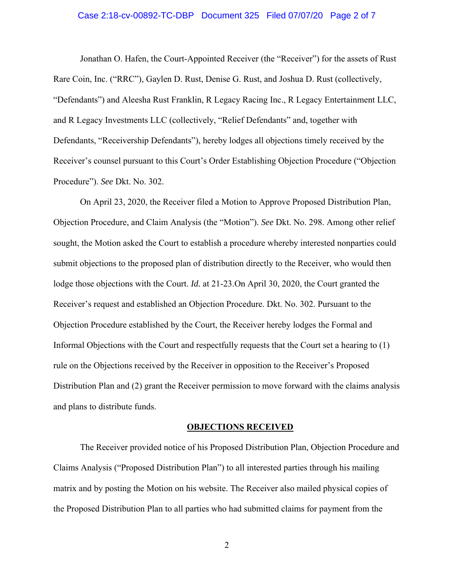# Case 2:18-cv-00892-TC-DBP Document 325 Filed 07/07/20 Page 2 of 7

Jonathan O. Hafen, the Court-Appointed Receiver (the "Receiver") for the assets of Rust Rare Coin, Inc. ("RRC"), Gaylen D. Rust, Denise G. Rust, and Joshua D. Rust (collectively, "Defendants") and Aleesha Rust Franklin, R Legacy Racing Inc., R Legacy Entertainment LLC, and R Legacy Investments LLC (collectively, "Relief Defendants" and, together with Defendants, "Receivership Defendants"), hereby lodges all objections timely received by the Receiver's counsel pursuant to this Court's Order Establishing Objection Procedure ("Objection Procedure"). *See* Dkt. No. 302.

On April 23, 2020, the Receiver filed a Motion to Approve Proposed Distribution Plan, Objection Procedure, and Claim Analysis (the "Motion"). *See* Dkt. No. 298. Among other relief sought, the Motion asked the Court to establish a procedure whereby interested nonparties could submit objections to the proposed plan of distribution directly to the Receiver, who would then lodge those objections with the Court. *Id.* at 21-23.On April 30, 2020, the Court granted the Receiver's request and established an Objection Procedure. Dkt. No. 302. Pursuant to the Objection Procedure established by the Court, the Receiver hereby lodges the Formal and Informal Objections with the Court and respectfully requests that the Court set a hearing to (1) rule on the Objections received by the Receiver in opposition to the Receiver's Proposed Distribution Plan and (2) grant the Receiver permission to move forward with the claims analysis and plans to distribute funds.

#### **OBJECTIONS RECEIVED**

The Receiver provided notice of his Proposed Distribution Plan, Objection Procedure and Claims Analysis ("Proposed Distribution Plan") to all interested parties through his mailing matrix and by posting the Motion on his website. The Receiver also mailed physical copies of the Proposed Distribution Plan to all parties who had submitted claims for payment from the

2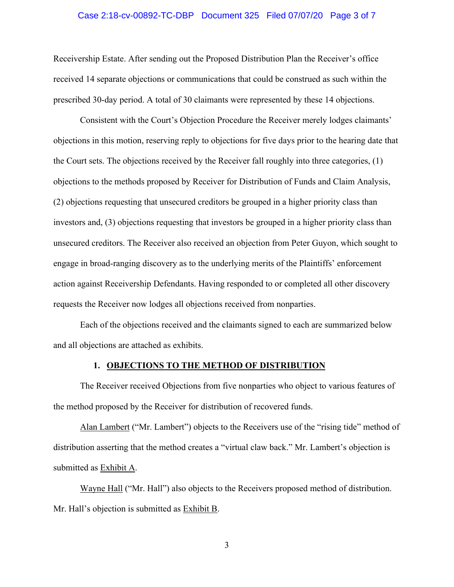### Case 2:18-cv-00892-TC-DBP Document 325 Filed 07/07/20 Page 3 of 7

Receivership Estate. After sending out the Proposed Distribution Plan the Receiver's office received 14 separate objections or communications that could be construed as such within the prescribed 30-day period. A total of 30 claimants were represented by these 14 objections.

Consistent with the Court's Objection Procedure the Receiver merely lodges claimants' objections in this motion, reserving reply to objections for five days prior to the hearing date that the Court sets. The objections received by the Receiver fall roughly into three categories, (1) objections to the methods proposed by Receiver for Distribution of Funds and Claim Analysis, (2) objections requesting that unsecured creditors be grouped in a higher priority class than investors and, (3) objections requesting that investors be grouped in a higher priority class than unsecured creditors. The Receiver also received an objection from Peter Guyon, which sought to engage in broad-ranging discovery as to the underlying merits of the Plaintiffs' enforcement action against Receivership Defendants. Having responded to or completed all other discovery requests the Receiver now lodges all objections received from nonparties.

Each of the objections received and the claimants signed to each are summarized below and all objections are attached as exhibits.

# **1. OBJECTIONS TO THE METHOD OF DISTRIBUTION**

The Receiver received Objections from five nonparties who object to various features of the method proposed by the Receiver for distribution of recovered funds.

Alan Lambert ("Mr. Lambert") objects to the Receivers use of the "rising tide" method of distribution asserting that the method creates a "virtual claw back." Mr. Lambert's objection is submitted as **Exhibit A**.

 Wayne Hall ("Mr. Hall") also objects to the Receivers proposed method of distribution. Mr. Hall's objection is submitted as Exhibit B.

3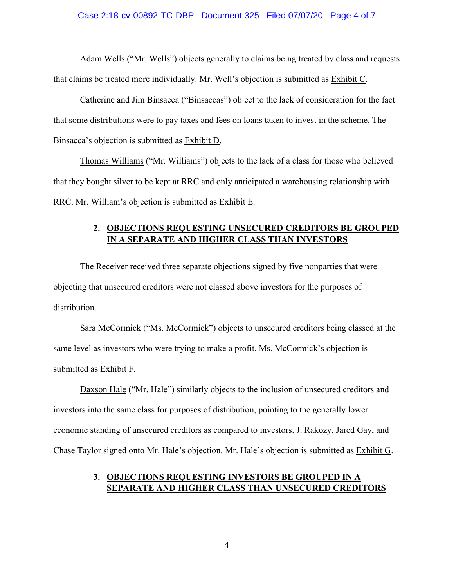### Case 2:18-cv-00892-TC-DBP Document 325 Filed 07/07/20 Page 4 of 7

 Adam Wells ("Mr. Wells") objects generally to claims being treated by class and requests that claims be treated more individually. Mr. Well's objection is submitted as Exhibit C.

Catherine and Jim Binsacca ("Binsaccas") object to the lack of consideration for the fact that some distributions were to pay taxes and fees on loans taken to invest in the scheme. The Binsacca's objection is submitted as Exhibit D.

Thomas Williams ("Mr. Williams") objects to the lack of a class for those who believed that they bought silver to be kept at RRC and only anticipated a warehousing relationship with RRC. Mr. William's objection is submitted as Exhibit E.

# **2. OBJECTIONS REQUESTING UNSECURED CREDITORS BE GROUPED IN A SEPARATE AND HIGHER CLASS THAN INVESTORS**

 The Receiver received three separate objections signed by five nonparties that were objecting that unsecured creditors were not classed above investors for the purposes of distribution.

Sara McCormick ("Ms. McCormick") objects to unsecured creditors being classed at the same level as investors who were trying to make a profit. Ms. McCormick's objection is submitted as Exhibit F.

Daxson Hale ("Mr. Hale") similarly objects to the inclusion of unsecured creditors and investors into the same class for purposes of distribution, pointing to the generally lower economic standing of unsecured creditors as compared to investors. J. Rakozy, Jared Gay, and Chase Taylor signed onto Mr. Hale's objection. Mr. Hale's objection is submitted as Exhibit G.

# **3. OBJECTIONS REQUESTING INVESTORS BE GROUPED IN A SEPARATE AND HIGHER CLASS THAN UNSECURED CREDITORS**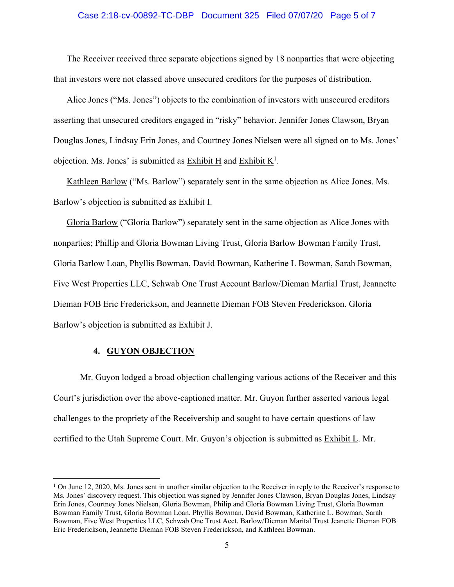#### Case 2:18-cv-00892-TC-DBP Document 325 Filed 07/07/20 Page 5 of 7

The Receiver received three separate objections signed by 18 nonparties that were objecting that investors were not classed above unsecured creditors for the purposes of distribution.

Alice Jones ("Ms. Jones") objects to the combination of investors with unsecured creditors asserting that unsecured creditors engaged in "risky" behavior. Jennifer Jones Clawson, Bryan Douglas Jones, Lindsay Erin Jones, and Courtney Jones Nielsen were all signed on to Ms. Jones' objection. Ms. Jones' is submitted as  $\overline{\text{Exhibit H}}$  and  $\overline{\text{Exhibit K}}^1$ .

Kathleen Barlow ("Ms. Barlow") separately sent in the same objection as Alice Jones. Ms. Barlow's objection is submitted as Exhibit I.

Gloria Barlow ("Gloria Barlow") separately sent in the same objection as Alice Jones with nonparties; Phillip and Gloria Bowman Living Trust, Gloria Barlow Bowman Family Trust, Gloria Barlow Loan, Phyllis Bowman, David Bowman, Katherine L Bowman, Sarah Bowman, Five West Properties LLC, Schwab One Trust Account Barlow/Dieman Martial Trust, Jeannette Dieman FOB Eric Frederickson, and Jeannette Dieman FOB Steven Frederickson. Gloria Barlow's objection is submitted as Exhibit J.

## **4. GUYON OBJECTION**

Mr. Guyon lodged a broad objection challenging various actions of the Receiver and this Court's jurisdiction over the above-captioned matter. Mr. Guyon further asserted various legal challenges to the propriety of the Receivership and sought to have certain questions of law certified to the Utah Supreme Court. Mr. Guyon's objection is submitted as Exhibit L. Mr.

<sup>&</sup>lt;sup>1</sup> On June 12, 2020, Ms. Jones sent in another similar objection to the Receiver in reply to the Receiver's response to Ms. Jones' discovery request. This objection was signed by Jennifer Jones Clawson, Bryan Douglas Jones, Lindsay Erin Jones, Courtney Jones Nielsen, Gloria Bowman, Philip and Gloria Bowman Living Trust, Gloria Bowman Bowman Family Trust, Gloria Bowman Loan, Phyllis Bowman, David Bowman, Katherine L. Bowman, Sarah Bowman, Five West Properties LLC, Schwab One Trust Acct. Barlow/Dieman Marital Trust Jeanette Dieman FOB Eric Frederickson, Jeannette Dieman FOB Steven Frederickson, and Kathleen Bowman.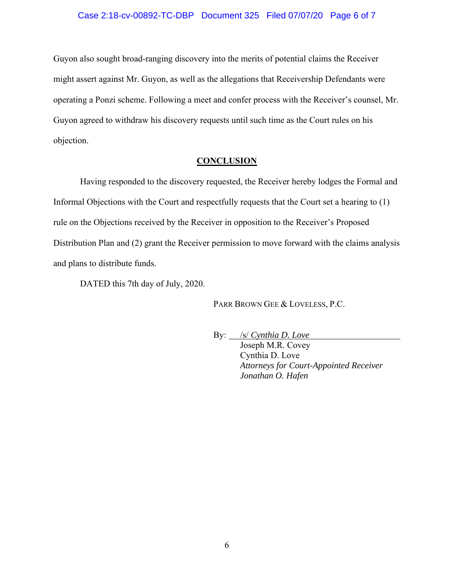## Case 2:18-cv-00892-TC-DBP Document 325 Filed 07/07/20 Page 6 of 7

Guyon also sought broad-ranging discovery into the merits of potential claims the Receiver might assert against Mr. Guyon, as well as the allegations that Receivership Defendants were operating a Ponzi scheme. Following a meet and confer process with the Receiver's counsel, Mr. Guyon agreed to withdraw his discovery requests until such time as the Court rules on his objection.

## **CONCLUSION**

Having responded to the discovery requested, the Receiver hereby lodges the Formal and Informal Objections with the Court and respectfully requests that the Court set a hearing to (1) rule on the Objections received by the Receiver in opposition to the Receiver's Proposed Distribution Plan and (2) grant the Receiver permission to move forward with the claims analysis and plans to distribute funds.

DATED this 7th day of July, 2020.

PARR BROWN GEE & LOVELESS, P.C.

By: /s/ *Cynthia D. Love*

Joseph M.R. Covey Cynthia D. Love *Attorneys for Court-Appointed Receiver Jonathan O. Hafen*